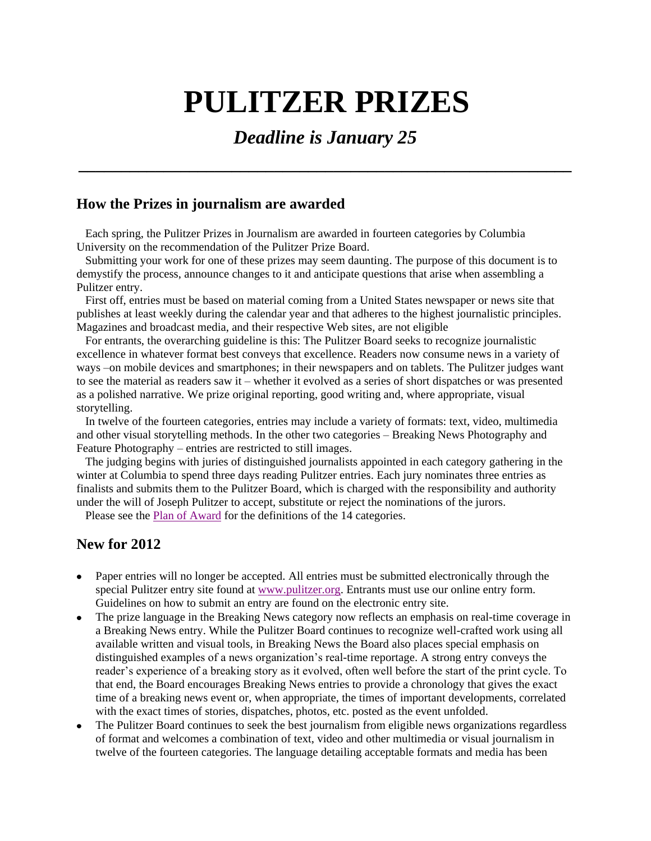# **PULITZER PRIZES**

# *Deadline is January 25*

**\_\_\_\_\_\_\_\_\_\_\_\_\_\_\_\_\_\_\_\_\_\_\_\_\_\_\_\_\_\_\_\_\_\_\_\_\_\_\_\_\_\_\_\_\_\_\_\_\_\_\_\_\_\_\_\_\_\_**

### **How the Prizes in journalism are awarded**

 Each spring, the Pulitzer Prizes in Journalism are awarded in fourteen categories by Columbia University on the recommendation of the Pulitzer Prize Board.

 Submitting your work for one of these prizes may seem daunting. The purpose of this document is to demystify the process, announce changes to it and anticipate questions that arise when assembling a Pulitzer entry.

First off, entries must be based on material coming from a United States newspaper or news site that publishes at least weekly during the calendar year and that adheres to the highest journalistic principles. Magazines and broadcast media, and their respective Web sites, are not eligible

For entrants, the overarching guideline is this: The Pulitzer Board seeks to recognize journalistic excellence in whatever format best conveys that excellence. Readers now consume news in a variety of ways –on mobile devices and smartphones; in their newspapers and on tablets. The Pulitzer judges want to see the material as readers saw it – whether it evolved as a series of short dispatches or was presented as a polished narrative. We prize original reporting, good writing and, where appropriate, visual storytelling.

In twelve of the fourteen categories, entries may include a variety of formats: text, video, multimedia and other visual storytelling methods. In the other two categories – Breaking News Photography and Feature Photography – entries are restricted to still images.

 The judging begins with juries of distinguished journalists appointed in each category gathering in the winter at Columbia to spend three days reading Pulitzer entries. Each jury nominates three entries as finalists and submits them to the Pulitzer Board, which is charged with the responsibility and authority under the will of Joseph Pulitzer to accept, substitute or reject the nominations of the jurors.

Please see the [Plan of Award](http://www.pulitzer.org/files/entryforms/planofaward2012.pdf) for the definitions of the 14 categories.

## **New for 2012**

- Paper entries will no longer be accepted. All entries must be submitted electronically through the special Pulitzer entry site found a[t www.pulitzer.org.](http://www.pulitzer.org/) Entrants must use our online entry form. Guidelines on how to submit an entry are found on the electronic entry site.
- The prize language in the Breaking News category now reflects an emphasis on real-time coverage in a Breaking News entry. While the Pulitzer Board continues to recognize well-crafted work using all available written and visual tools, in Breaking News the Board also places special emphasis on distinguished examples of a news organization's real-time reportage. A strong entry conveys the reader's experience of a breaking story as it evolved, often well before the start of the print cycle. To that end, the Board encourages Breaking News entries to provide a chronology that gives the exact time of a breaking news event or, when appropriate, the times of important developments, correlated with the exact times of stories, dispatches, photos, etc. posted as the event unfolded.
- The Pulitzer Board continues to seek the best journalism from eligible news organizations regardless of format and welcomes a combination of text, video and other multimedia or visual journalism in twelve of the fourteen categories. The language detailing acceptable formats and media has been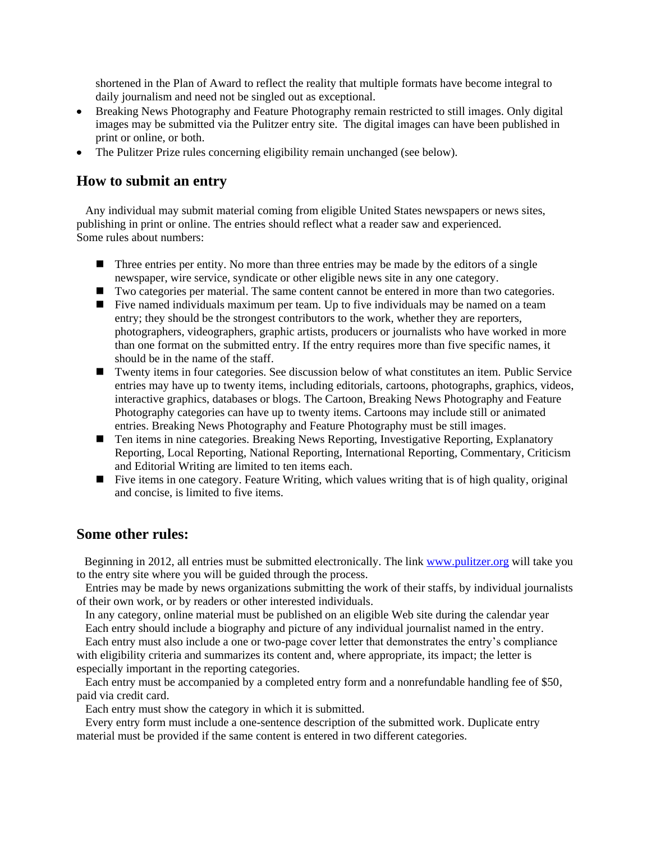shortened in the Plan of Award to reflect the reality that multiple formats have become integral to daily journalism and need not be singled out as exceptional.

- Breaking News Photography and Feature Photography remain restricted to still images. Only digital images may be submitted via the Pulitzer entry site. The digital images can have been published in print or online, or both.
- The Pulitzer Prize rules concerning eligibility remain unchanged (see below).

#### **How to submit an entry**

 Any individual may submit material coming from eligible United States newspapers or news sites, publishing in print or online. The entries should reflect what a reader saw and experienced. Some rules about numbers:

- $\blacksquare$  Three entries per entity. No more than three entries may be made by the editors of a single newspaper, wire service, syndicate or other eligible news site in any one category.
- Two categories per material. The same content cannot be entered in more than two categories.
- Five named individuals maximum per team. Up to five individuals may be named on a team entry; they should be the strongest contributors to the work, whether they are reporters, photographers, videographers, graphic artists, producers or journalists who have worked in more than one format on the submitted entry. If the entry requires more than five specific names, it should be in the name of the staff.
- Twenty items in four categories. See discussion below of what constitutes an item. Public Service entries may have up to twenty items, including editorials, cartoons, photographs, graphics, videos, interactive graphics, databases or blogs. The Cartoon, Breaking News Photography and Feature Photography categories can have up to twenty items. Cartoons may include still or animated entries. Breaking News Photography and Feature Photography must be still images.
- Ten items in nine categories. Breaking News Reporting, Investigative Reporting, Explanatory Reporting, Local Reporting, National Reporting, International Reporting, Commentary, Criticism and Editorial Writing are limited to ten items each.
- Five items in one category. Feature Writing, which values writing that is of high quality, original and concise, is limited to five items.

#### **Some other rules:**

 Beginning in 2012, all entries must be submitted electronically. The link [www.pulitzer.org](http://www.pulitzer.org/) will take you to the entry site where you will be guided through the process.

 Entries may be made by news organizations submitting the work of their staffs, by individual journalists of their own work, or by readers or other interested individuals.

 In any category, online material must be published on an eligible Web site during the calendar year Each entry should include a biography and picture of any individual journalist named in the entry.

 Each entry must also include a one or two-page cover letter that demonstrates the entry's compliance with eligibility criteria and summarizes its content and, where appropriate, its impact; the letter is especially important in the reporting categories.

 Each entry must be accompanied by a completed entry form and a nonrefundable handling fee of \$50, paid via credit card.

Each entry must show the category in which it is submitted.

 Every entry form must include a one-sentence description of the submitted work. Duplicate entry material must be provided if the same content is entered in two different categories.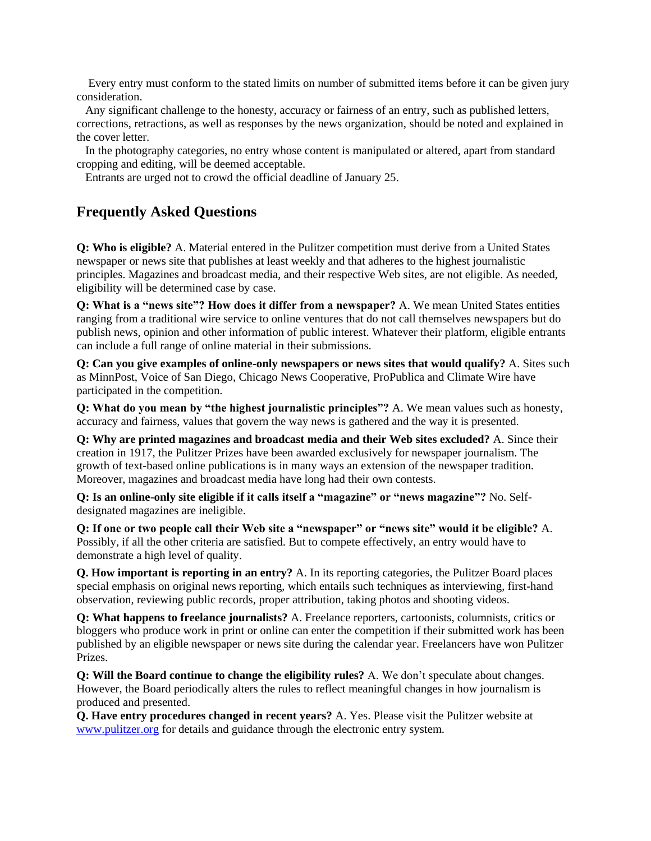Every entry must conform to the stated limits on number of submitted items before it can be given jury consideration.

 Any significant challenge to the honesty, accuracy or fairness of an entry, such as published letters, corrections, retractions, as well as responses by the news organization, should be noted and explained in the cover letter.

 In the photography categories, no entry whose content is manipulated or altered, apart from standard cropping and editing, will be deemed acceptable.

Entrants are urged not to crowd the official deadline of January 25.

# **Frequently Asked Questions**

**Q: Who is eligible?** A. Material entered in the Pulitzer competition must derive from a United States newspaper or news site that publishes at least weekly and that adheres to the highest journalistic principles. Magazines and broadcast media, and their respective Web sites, are not eligible. As needed, eligibility will be determined case by case.

**Q: What is a "news site"? How does it differ from a newspaper?** A. We mean United States entities ranging from a traditional wire service to online ventures that do not call themselves newspapers but do publish news, opinion and other information of public interest. Whatever their platform, eligible entrants can include a full range of online material in their submissions.

**Q: Can you give examples of online-only newspapers or news sites that would qualify?** A. Sites such as MinnPost, Voice of San Diego, Chicago News Cooperative, ProPublica and Climate Wire have participated in the competition.

**Q: What do you mean by "the highest journalistic principles"?** A. We mean values such as honesty, accuracy and fairness, values that govern the way news is gathered and the way it is presented.

**Q: Why are printed magazines and broadcast media and their Web sites excluded?** A. Since their creation in 1917, the Pulitzer Prizes have been awarded exclusively for newspaper journalism. The growth of text-based online publications is in many ways an extension of the newspaper tradition. Moreover, magazines and broadcast media have long had their own contests.

**Q: Is an online-only site eligible if it calls itself a "magazine" or "news magazine"?** No. Selfdesignated magazines are ineligible.

**Q: If one or two people call their Web site a "newspaper" or "news site" would it be eligible?** A. Possibly, if all the other criteria are satisfied. But to compete effectively, an entry would have to demonstrate a high level of quality.

**Q. How important is reporting in an entry?** A. In its reporting categories, the Pulitzer Board places special emphasis on original news reporting, which entails such techniques as interviewing, first-hand observation, reviewing public records, proper attribution, taking photos and shooting videos.

**Q: What happens to freelance journalists?** A. Freelance reporters, cartoonists, columnists, critics or bloggers who produce work in print or online can enter the competition if their submitted work has been published by an eligible newspaper or news site during the calendar year. Freelancers have won Pulitzer Prizes.

**Q: Will the Board continue to change the eligibility rules?** A. We don't speculate about changes. However, the Board periodically alters the rules to reflect meaningful changes in how journalism is produced and presented.

**Q. Have entry procedures changed in recent years?** A. Yes. Please visit the Pulitzer website at [www.pulitzer.org](http://www.pulitzer.org/) for details and guidance through the electronic entry system.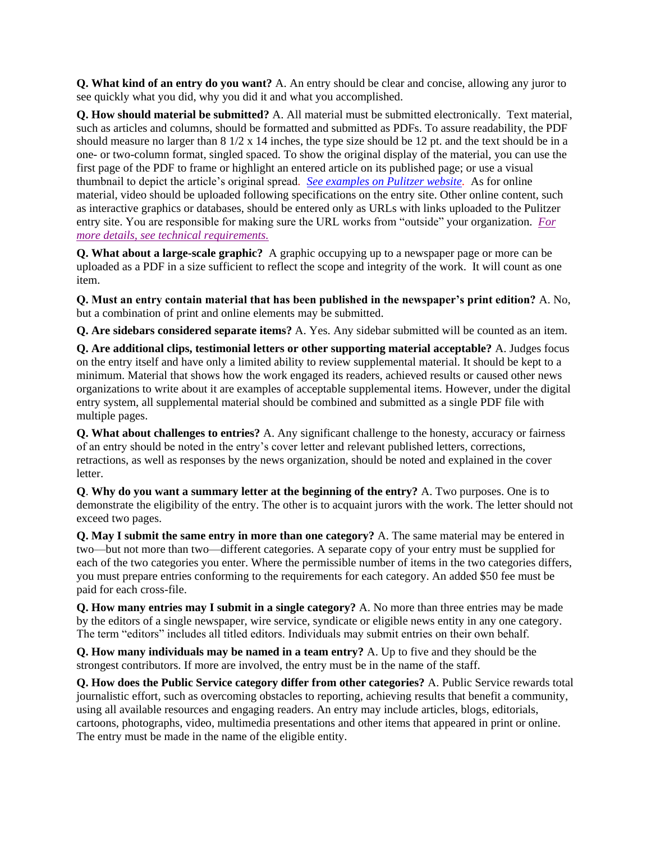**Q. What kind of an entry do you want?** A. An entry should be clear and concise, allowing any juror to see quickly what you did, why you did it and what you accomplished.

**Q. How should material be submitted?** A. All material must be submitted electronically. Text material, such as articles and columns, should be formatted and submitted as PDFs. To assure readability, the PDF should measure no larger than  $8 \frac{1}{2} \times 14$  inches, the type size should be 12 pt. and the text should be in a one- or two-column format, singled spaced. To show the original display of the material, you can use the first page of the PDF to frame or highlight an entered article on its published page; or use a visual thumbnail to depict the article's original spread*. [See examples on Pulitzer website.](http://www.pulitzer.org/)* As for online material, video should be uploaded following specifications on the entry site. Other online content, such as interactive graphics or databases, should be entered only as URLs with links uploaded to the Pulitzer entry site. You are responsible for making sure the URL works from "outside" your organization. *[For](http://www.pulitzer.org/files/entryforms/2012techreqs.pdf)  [more details, see technical requirements.](http://www.pulitzer.org/files/entryforms/2012techreqs.pdf)*

**Q. What about a large-scale graphic?** A graphic occupying up to a newspaper page or more can be uploaded as a PDF in a size sufficient to reflect the scope and integrity of the work. It will count as one item.

**Q. Must an entry contain material that has been published in the newspaper's print edition?** A. No, but a combination of print and online elements may be submitted.

**Q. Are sidebars considered separate items?** A. Yes. Any sidebar submitted will be counted as an item.

**Q. Are additional clips, testimonial letters or other supporting material acceptable?** A. Judges focus on the entry itself and have only a limited ability to review supplemental material. It should be kept to a minimum. Material that shows how the work engaged its readers, achieved results or caused other news organizations to write about it are examples of acceptable supplemental items. However, under the digital entry system, all supplemental material should be combined and submitted as a single PDF file with multiple pages.

**Q. What about challenges to entries?** A. Any significant challenge to the honesty, accuracy or fairness of an entry should be noted in the entry's cover letter and relevant published letters, corrections, retractions, as well as responses by the news organization, should be noted and explained in the cover letter.

**Q**. **Why do you want a summary letter at the beginning of the entry?** A. Two purposes. One is to demonstrate the eligibility of the entry. The other is to acquaint jurors with the work. The letter should not exceed two pages.

**Q. May I submit the same entry in more than one category?** A. The same material may be entered in two—but not more than two—different categories. A separate copy of your entry must be supplied for each of the two categories you enter. Where the permissible number of items in the two categories differs, you must prepare entries conforming to the requirements for each category. An added \$50 fee must be paid for each cross-file.

**Q. How many entries may I submit in a single category?** A. No more than three entries may be made by the editors of a single newspaper, wire service, syndicate or eligible news entity in any one category. The term "editors" includes all titled editors. Individuals may submit entries on their own behalf.

**Q. How many individuals may be named in a team entry?** A. Up to five and they should be the strongest contributors. If more are involved, the entry must be in the name of the staff.

**Q. How does the Public Service category differ from other categories?** A. Public Service rewards total journalistic effort, such as overcoming obstacles to reporting, achieving results that benefit a community, using all available resources and engaging readers. An entry may include articles, blogs, editorials, cartoons, photographs, video, multimedia presentations and other items that appeared in print or online. The entry must be made in the name of the eligible entity.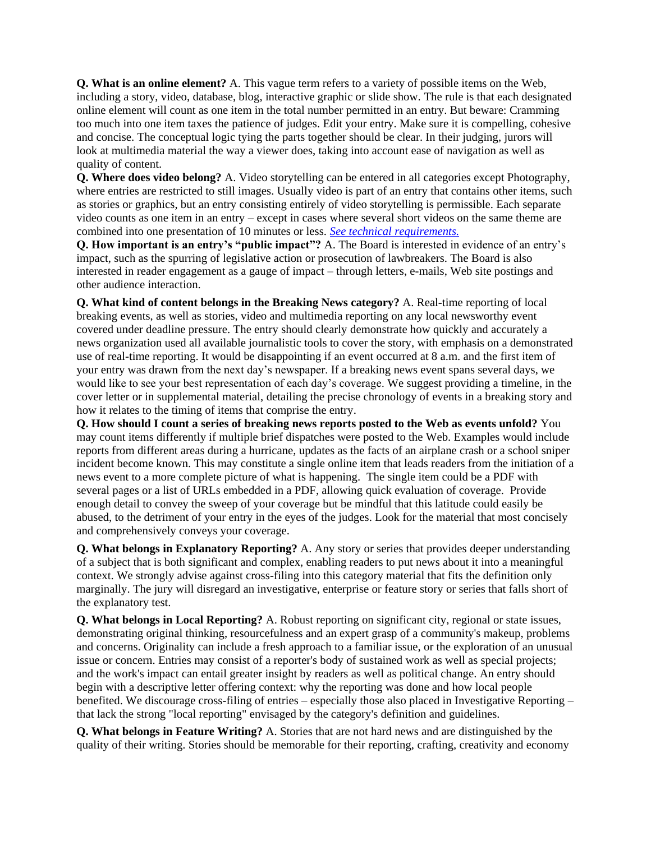**Q. What is an online element?** A. This vague term refers to a variety of possible items on the Web, including a story, video, database, blog, interactive graphic or slide show. The rule is that each designated online element will count as one item in the total number permitted in an entry. But beware: Cramming too much into one item taxes the patience of judges. Edit your entry. Make sure it is compelling, cohesive and concise. The conceptual logic tying the parts together should be clear. In their judging, jurors will look at multimedia material the way a viewer does, taking into account ease of navigation as well as quality of content.

**Q. Where does video belong?** A. Video storytelling can be entered in all categories except Photography, where entries are restricted to still images. Usually video is part of an entry that contains other items, such as stories or graphics, but an entry consisting entirely of video storytelling is permissible. Each separate video counts as one item in an entry – except in cases where several short videos on the same theme are combined into one presentation of 10 minutes or less. *[See technical requirements.](http://www.pulitzer.org/files/entryforms/2012techreqs.pdf)*

**Q. How important is an entry's "public impact"?** A. The Board is interested in evidence of an entry's impact, such as the spurring of legislative action or prosecution of lawbreakers. The Board is also interested in reader engagement as a gauge of impact – through letters, e-mails, Web site postings and other audience interaction.

**Q. What kind of content belongs in the Breaking News category?** A. Real-time reporting of local breaking events, as well as stories, video and multimedia reporting on any local newsworthy event covered under deadline pressure. The entry should clearly demonstrate how quickly and accurately a news organization used all available journalistic tools to cover the story, with emphasis on a demonstrated use of real-time reporting. It would be disappointing if an event occurred at 8 a.m. and the first item of your entry was drawn from the next day's newspaper. If a breaking news event spans several days, we would like to see your best representation of each day's coverage. We suggest providing a timeline, in the cover letter or in supplemental material, detailing the precise chronology of events in a breaking story and how it relates to the timing of items that comprise the entry.

**Q. How should I count a series of breaking news reports posted to the Web as events unfold?** You may count items differently if multiple brief dispatches were posted to the Web. Examples would include reports from different areas during a hurricane, updates as the facts of an airplane crash or a school sniper incident become known. This may constitute a single online item that leads readers from the initiation of a news event to a more complete picture of what is happening. The single item could be a PDF with several pages or a list of URLs embedded in a PDF, allowing quick evaluation of coverage. Provide enough detail to convey the sweep of your coverage but be mindful that this latitude could easily be abused, to the detriment of your entry in the eyes of the judges. Look for the material that most concisely and comprehensively conveys your coverage.

**Q. What belongs in Explanatory Reporting?** A. Any story or series that provides deeper understanding of a subject that is both significant and complex, enabling readers to put news about it into a meaningful context. We strongly advise against cross-filing into this category material that fits the definition only marginally. The jury will disregard an investigative, enterprise or feature story or series that falls short of the explanatory test.

**Q. What belongs in Local Reporting?** A. Robust reporting on significant city, regional or state issues, demonstrating original thinking, resourcefulness and an expert grasp of a community's makeup, problems and concerns. Originality can include a fresh approach to a familiar issue, or the exploration of an unusual issue or concern. Entries may consist of a reporter's body of sustained work as well as special projects; and the work's impact can entail greater insight by readers as well as political change. An entry should begin with a descriptive letter offering context: why the reporting was done and how local people benefited. We discourage cross-filing of entries – especially those also placed in Investigative Reporting – that lack the strong "local reporting" envisaged by the category's definition and guidelines.

**Q. What belongs in Feature Writing?** A. Stories that are not hard news and are distinguished by the quality of their writing. Stories should be memorable for their reporting, crafting, creativity and economy